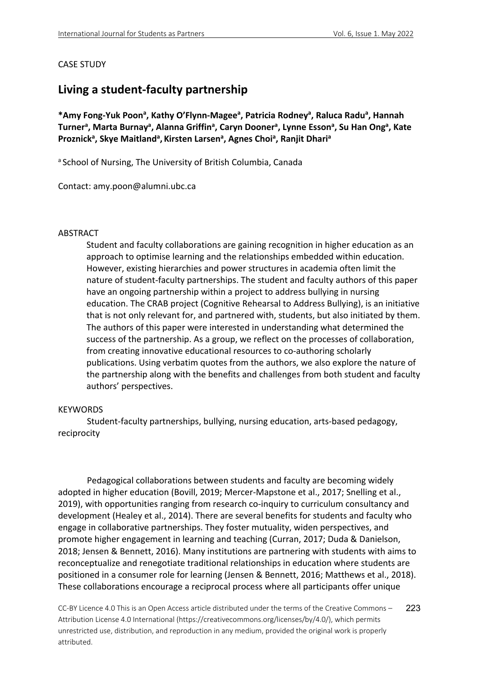# CASE STUDY

# **Living a student-faculty partnership**

\*Amy Fong-Yuk Poon<sup>a</sup>, Kathy O'Flynn-Magee<sup>a</sup>, Patricia Rodney<sup>a</sup>, Raluca Radu<sup>a</sup>, Hannah Turner<sup>a</sup>, Marta Burnay<sup>a</sup>, Alanna Griffin<sup>a</sup>, Caryn Dooner<sup>a</sup>, Lynne Esson<sup>a</sup>, Su Han Ong<sup>a</sup>, Kate Proznick<sup>a</sup>, Skye Maitland<sup>a</sup>, Kirsten Larsen<sup>a</sup>, Agnes Choi<sup>a</sup>, Ranjit Dhari<sup>a</sup>

a School of Nursing, The University of British Columbia, Canada

Contact: amy.poon@alumni.ubc.ca

### ABSTRACT

Student and faculty collaborations are gaining recognition in higher education as an approach to optimise learning and the relationships embedded within education. However, existing hierarchies and power structures in academia often limit the nature of student-faculty partnerships. The student and faculty authors of this paper have an ongoing partnership within a project to address bullying in nursing education. The CRAB project (Cognitive Rehearsal to Address Bullying), is an initiative that is not only relevant for, and partnered with, students, but also initiated by them. The authors of this paper were interested in understanding what determined the success of the partnership. As a group, we reflect on the processes of collaboration, from creating innovative educational resources to co-authoring scholarly publications. Using verbatim quotes from the authors, we also explore the nature of the partnership along with the benefits and challenges from both student and faculty authors' perspectives.

#### **KEYWORDS**

Student-faculty partnerships, bullying, nursing education, arts-based pedagogy, reciprocity

Pedagogical collaborations between students and faculty are becoming widely adopted in higher education (Bovill, 2019; Mercer-Mapstone et al., 2017; Snelling et al., 2019), with opportunities ranging from research co-inquiry to curriculum consultancy and development (Healey et al., 2014). There are several benefits for students and faculty who engage in collaborative partnerships. They foster mutuality, widen perspectives, and promote higher engagement in learning and teaching (Curran, 2017; Duda & Danielson, 2018; Jensen & Bennett, 2016). Many institutions are partnering with students with aims to reconceptualize and renegotiate traditional relationships in education where students are positioned in a consumer role for learning (Jensen & Bennett, 2016; Matthews et al., 2018). These collaborations encourage a reciprocal process where all participants offer unique

CC-BY Licence 4.0 This is an Open Access article distributed under the terms of the Creative Commons – Attribution License 4.0 International (https://creativecommons.org/licenses/by/4.0/), which permits unrestricted use, distribution, and reproduction in any medium, provided the original work is properly attributed. 223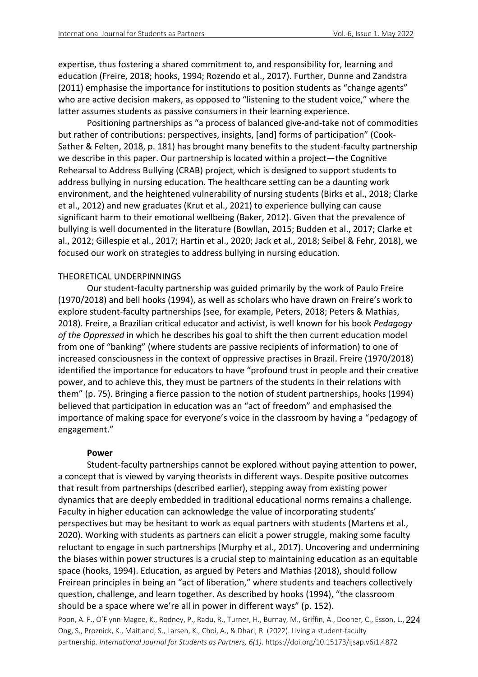expertise, thus fostering a shared commitment to, and responsibility for, learning and education (Freire, 2018; hooks, 1994; Rozendo et al., 2017). Further, Dunne and Zandstra (2011) emphasise the importance for institutions to position students as "change agents" who are active decision makers, as opposed to "listening to the student voice," where the latter assumes students as passive consumers in their learning experience.

Positioning partnerships as "a process of balanced give-and-take not of commodities but rather of contributions: perspectives, insights, [and] forms of participation" (Cook-Sather & Felten, 2018, p. 181) has brought many benefits to the student-faculty partnership we describe in this paper. Our partnership is located within a project—the Cognitive Rehearsal to Address Bullying (CRAB) project, which is designed to support students to address bullying in nursing education. The healthcare setting can be a daunting work environment, and the heightened vulnerability of nursing students (Birks et al., 2018; Clarke et al., 2012) and new graduates (Krut et al., 2021) to experience bullying can cause significant harm to their emotional wellbeing (Baker, 2012). Given that the prevalence of bullying is well documented in the literature (Bowllan, 2015; Budden et al., 2017; Clarke et al., 2012; Gillespie et al., 2017; Hartin et al., 2020; Jack et al., 2018; Seibel & Fehr, 2018), we focused our work on strategies to address bullying in nursing education.

#### THEORETICAL UNDERPINNINGS

Our student-faculty partnership was guided primarily by the work of Paulo Freire (1970/2018) and bell hooks (1994), as well as scholars who have drawn on Freire's work to explore student-faculty partnerships (see, for example, Peters, 2018; Peters & Mathias, 2018). Freire, a Brazilian critical educator and activist, is well known for his book *Pedagogy of the Oppressed* in which he describes his goal to shift the then current education model from one of "banking" (where students are passive recipients of information) to one of increased consciousness in the context of oppressive practises in Brazil. Freire (1970/2018) identified the importance for educators to have "profound trust in people and their creative power, and to achieve this, they must be partners of the students in their relations with them" (p. 75). Bringing a fierce passion to the notion of student partnerships, hooks (1994) believed that participation in education was an "act of freedom" and emphasised the importance of making space for everyone's voice in the classroom by having a "pedagogy of engagement."

#### **Power**

Student-faculty partnerships cannot be explored without paying attention to power, a concept that is viewed by varying theorists in different ways. Despite positive outcomes that result from partnerships (described earlier), stepping away from existing power dynamics that are deeply embedded in traditional educational norms remains a challenge. Faculty in higher education can acknowledge the value of incorporating students' perspectives but may be hesitant to work as equal partners with students (Martens et al., 2020). Working with students as partners can elicit a power struggle, making some faculty reluctant to engage in such partnerships (Murphy et al., 2017). Uncovering and undermining the biases within power structures is a crucial step to maintaining education as an equitable space (hooks, 1994). Education, as argued by Peters and Mathias (2018), should follow Freirean principles in being an "act of liberation," where students and teachers collectively question, challenge, and learn together. As described by hooks (1994), "the classroom should be a space where we're all in power in different ways" (p. 152).

Poon, A. F., O'Flynn-Magee, K., Rodney, P., Radu, R., Turner, H., Burnay, M., Griffin, A., Dooner, C., Esson, L., 224 Ong, S., Proznick, K., Maitland, S., Larsen, K., Choi, A., & Dhari, R. (2022). Living a student-faculty partnership. *International Journal for Students as Partners, 6(1)*. https://doi.org/10.15173/ijsap.v6i1.4872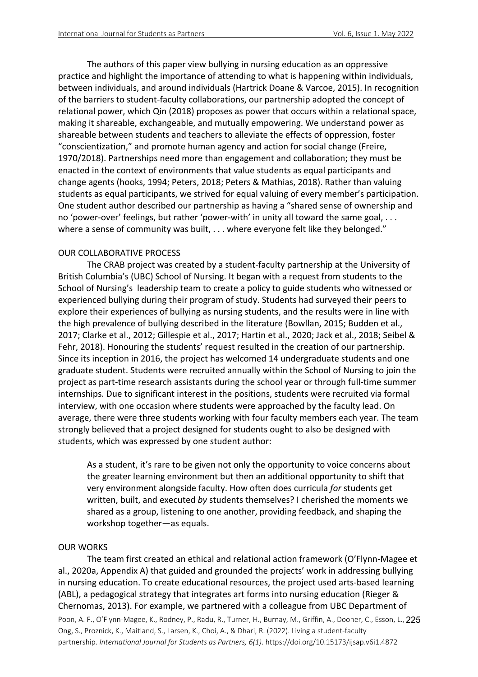The authors of this paper view bullying in nursing education as an oppressive practice and highlight the importance of attending to what is happening within individuals, between individuals, and around individuals (Hartrick Doane & Varcoe, 2015). In recognition of the barriers to student-faculty collaborations, our partnership adopted the concept of relational power, which Qin (2018) proposes as power that occurs within a relational space, making it shareable, exchangeable, and mutually empowering. We understand power as shareable between students and teachers to alleviate the effects of oppression, foster "conscientization," and promote human agency and action for social change (Freire, 1970/2018). Partnerships need more than engagement and collaboration; they must be enacted in the context of environments that value students as equal participants and change agents (hooks, 1994; Peters, 2018; Peters & Mathias, 2018). Rather than valuing students as equal participants, we strived for equal valuing of every member's participation. One student author described our partnership as having a "shared sense of ownership and no 'power-over' feelings, but rather 'power-with' in unity all toward the same goal, . . . where a sense of community was built, . . . where everyone felt like they belonged."

# OUR COLLABORATIVE PROCESS

The CRAB project was created by a student-faculty partnership at the University of British Columbia's (UBC) School of Nursing. It began with a request from students to the School of Nursing's leadership team to create a policy to guide students who witnessed or experienced bullying during their program of study. Students had surveyed their peers to explore their experiences of bullying as nursing students, and the results were in line with the high prevalence of bullying described in the literature (Bowllan, 2015; Budden et al., 2017; Clarke et al., 2012; Gillespie et al., 2017; Hartin et al., 2020; Jack et al., 2018; Seibel & Fehr, 2018). Honouring the students' request resulted in the creation of our partnership. Since its inception in 2016, the project has welcomed 14 undergraduate students and one graduate student. Students were recruited annually within the School of Nursing to join the project as part-time research assistants during the school year or through full-time summer internships. Due to significant interest in the positions, students were recruited via formal interview, with one occasion where students were approached by the faculty lead. On average, there were three students working with four faculty members each year. The team strongly believed that a project designed for students ought to also be designed with students, which was expressed by one student author:

As a student, it's rare to be given not only the opportunity to voice concerns about the greater learning environment but then an additional opportunity to shift that very environment alongside faculty. How often does curricula *for* students get written, built, and executed *by* students themselves? I cherished the moments we shared as a group, listening to one another, providing feedback, and shaping the workshop together—as equals.

# OUR WORKS

Poon, A. F., O'Flynn-Magee, K., Rodney, P., Radu, R., Turner, H., Burnay, M., Griffin, A., Dooner, C., Esson, L., 225 Ong, S., Proznick, K., Maitland, S., Larsen, K., Choi, A., & Dhari, R. (2022). Living a student-faculty partnership. *International Journal for Students as Partners, 6(1)*. https://doi.org/10.15173/ijsap.v6i1.4872 The team first created an ethical and relational action framework (O'Flynn-Magee et al., 2020a, Appendix A) that guided and grounded the projects' work in addressing bullying in nursing education. To create educational resources, the project used arts-based learning (ABL), a pedagogical strategy that integrates art forms into nursing education (Rieger & Chernomas, 2013). For example, we partnered with a colleague from UBC Department of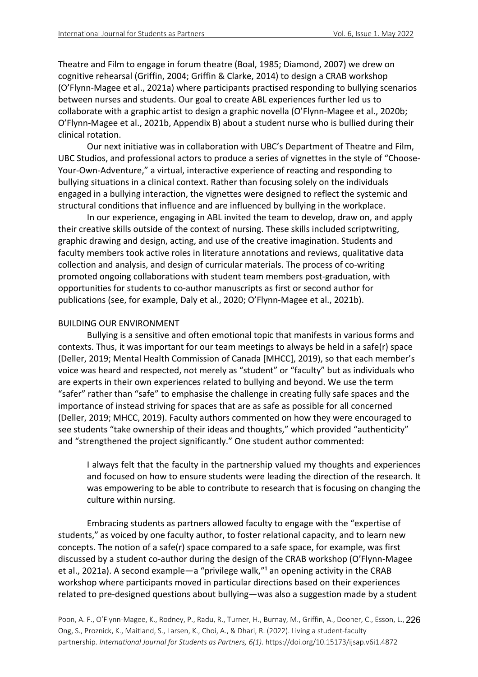Theatre and Film to engage in forum theatre (Boal, 1985; Diamond, 2007) we drew on cognitive rehearsal (Griffin, 2004; Griffin & Clarke, 2014) to design a CRAB workshop (O'Flynn-Magee et al., 2021a) where participants practised responding to bullying scenarios between nurses and students. Our goal to create ABL experiences further led us to collaborate with a graphic artist to design a graphic novella (O'Flynn-Magee et al., 2020b; O'Flynn-Magee et al., 2021b, Appendix B) about a student nurse who is bullied during their clinical rotation.

Our next initiative was in collaboration with UBC's Department of Theatre and Film, UBC Studios, and professional actors to produce a series of vignettes in the style of "Choose-Your-Own-Adventure," a virtual, interactive experience of reacting and responding to bullying situations in a clinical context. Rather than focusing solely on the individuals engaged in a bullying interaction, the vignettes were designed to reflect the systemic and structural conditions that influence and are influenced by bullying in the workplace.

In our experience, engaging in ABL invited the team to develop, draw on, and apply their creative skills outside of the context of nursing. These skills included scriptwriting, graphic drawing and design, acting, and use of the creative imagination. Students and faculty members took active roles in literature annotations and reviews, qualitative data collection and analysis, and design of curricular materials. The process of co-writing promoted ongoing collaborations with student team members post-graduation, with opportunities for students to co-author manuscripts as first or second author for publications (see, for example, Daly et al., 2020; O'Flynn-Magee et al., 2021b).

# BUILDING OUR ENVIRONMENT

Bullying is a sensitive and often emotional topic that manifests in various forms and contexts. Thus, it was important for our team meetings to always be held in a safe(r) space (Deller, 2019; Mental Health Commission of Canada [MHCC], 2019), so that each member's voice was heard and respected, not merely as "student" or "faculty" but as individuals who are experts in their own experiences related to bullying and beyond. We use the term "safer" rather than "safe" to emphasise the challenge in creating fully safe spaces and the importance of instead striving for spaces that are as safe as possible for all concerned (Deller, 2019; MHCC, 2019). Faculty authors commented on how they were encouraged to see students "take ownership of their ideas and thoughts," which provided "authenticity" and "strengthened the project significantly." One student author commented:

I always felt that the faculty in the partnership valued my thoughts and experiences and focused on how to ensure students were leading the direction of the research. It was empowering to be able to contribute to research that is focusing on changing the culture within nursing.

Embracing students as partners allowed faculty to engage with the "expertise of students," as voiced by one faculty author, to foster relational capacity, and to learn new concepts. The notion of a safe(r) space compared to a safe space, for example, was first discussed by a student co-author during the design of the CRAB workshop (O'Flynn-Magee et al., 2021a). A second example—a "privilege walk,"<sup>1</sup> an opening activity in the CRAB workshop where participants moved in particular directions based on their experiences related to pre-designed questions about bullying—was also a suggestion made by a student

Poon, A. F., O'Flynn-Magee, K., Rodney, P., Radu, R., Turner, H., Burnay, M., Griffin, A., Dooner, C., Esson, L., 226 Ong, S., Proznick, K., Maitland, S., Larsen, K., Choi, A., & Dhari, R. (2022). Living a student-faculty partnership. *International Journal for Students as Partners, 6(1)*. https://doi.org/10.15173/ijsap.v6i1.4872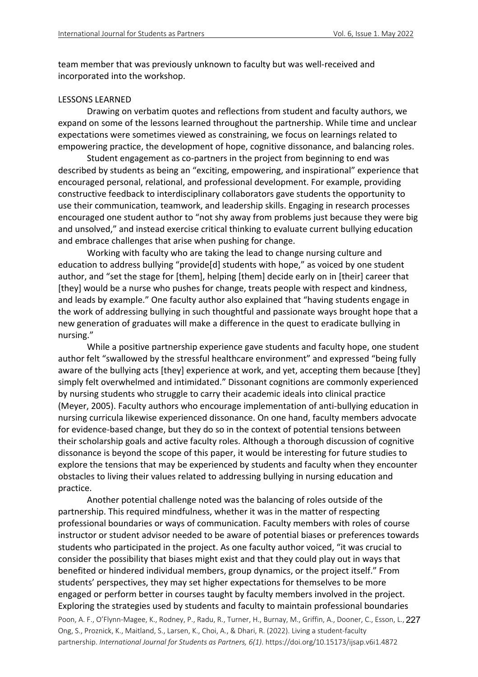team member that was previously unknown to faculty but was well-received and incorporated into the workshop.

#### LESSONS LEARNED

Drawing on verbatim quotes and reflections from student and faculty authors, we expand on some of the lessons learned throughout the partnership. While time and unclear expectations were sometimes viewed as constraining, we focus on learnings related to empowering practice, the development of hope, cognitive dissonance, and balancing roles.

Student engagement as co-partners in the project from beginning to end was described by students as being an "exciting, empowering, and inspirational" experience that encouraged personal, relational, and professional development. For example, providing constructive feedback to interdisciplinary collaborators gave students the opportunity to use their communication, teamwork, and leadership skills. Engaging in research processes encouraged one student author to "not shy away from problems just because they were big and unsolved," and instead exercise critical thinking to evaluate current bullying education and embrace challenges that arise when pushing for change.

Working with faculty who are taking the lead to change nursing culture and education to address bullying "provide[d] students with hope," as voiced by one student author, and "set the stage for [them], helping [them] decide early on in [their] career that [they] would be a nurse who pushes for change, treats people with respect and kindness, and leads by example." One faculty author also explained that "having students engage in the work of addressing bullying in such thoughtful and passionate ways brought hope that a new generation of graduates will make a difference in the quest to eradicate bullying in nursing."

While a positive partnership experience gave students and faculty hope, one student author felt "swallowed by the stressful healthcare environment" and expressed "being fully aware of the bullying acts [they] experience at work, and yet, accepting them because [they] simply felt overwhelmed and intimidated." Dissonant cognitions are commonly experienced by nursing students who struggle to carry their academic ideals into clinical practice (Meyer, 2005). Faculty authors who encourage implementation of anti-bullying education in nursing curricula likewise experienced dissonance. On one hand, faculty members advocate for evidence-based change, but they do so in the context of potential tensions between their scholarship goals and active faculty roles. Although a thorough discussion of cognitive dissonance is beyond the scope of this paper, it would be interesting for future studies to explore the tensions that may be experienced by students and faculty when they encounter obstacles to living their values related to addressing bullying in nursing education and practice.

Another potential challenge noted was the balancing of roles outside of the partnership. This required mindfulness, whether it was in the matter of respecting professional boundaries or ways of communication. Faculty members with roles of course instructor or student advisor needed to be aware of potential biases or preferences towards students who participated in the project. As one faculty author voiced, "it was crucial to consider the possibility that biases might exist and that they could play out in ways that benefited or hindered individual members, group dynamics, or the project itself." From students' perspectives, they may set higher expectations for themselves to be more engaged or perform better in courses taught by faculty members involved in the project. Exploring the strategies used by students and faculty to maintain professional boundaries

Poon, A. F., O'Flynn-Magee, K., Rodney, P., Radu, R., Turner, H., Burnay, M., Griffin, A., Dooner, C., Esson, L., 227 Ong, S., Proznick, K., Maitland, S., Larsen, K., Choi, A., & Dhari, R. (2022). Living a student-faculty partnership. *International Journal for Students as Partners, 6(1)*. https://doi.org/10.15173/ijsap.v6i1.4872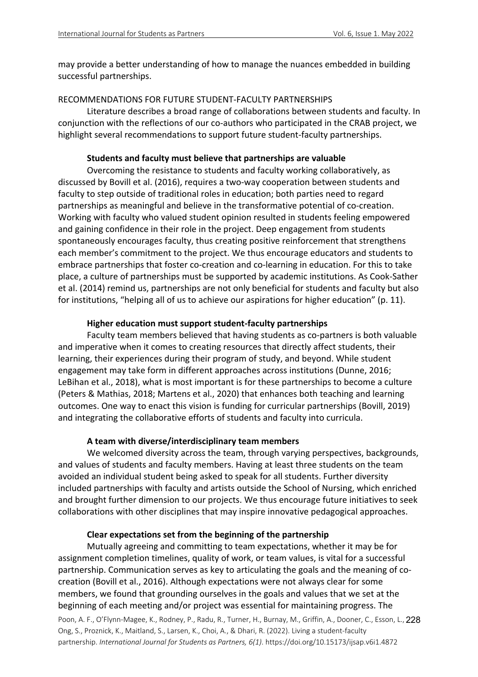may provide a better understanding of how to manage the nuances embedded in building successful partnerships.

# RECOMMENDATIONS FOR FUTURE STUDENT-FACULTY PARTNERSHIPS

Literature describes a broad range of collaborations between students and faculty. In conjunction with the reflections of our co-authors who participated in the CRAB project, we highlight several recommendations to support future student-faculty partnerships.

# **Students and faculty must believe that partnerships are valuable**

Overcoming the resistance to students and faculty working collaboratively, as discussed by Bovill et al. (2016), requires a two-way cooperation between students and faculty to step outside of traditional roles in education; both parties need to regard partnerships as meaningful and believe in the transformative potential of co-creation. Working with faculty who valued student opinion resulted in students feeling empowered and gaining confidence in their role in the project. Deep engagement from students spontaneously encourages faculty, thus creating positive reinforcement that strengthens each member's commitment to the project. We thus encourage educators and students to embrace partnerships that foster co-creation and co-learning in education. For this to take place, a culture of partnerships must be supported by academic institutions. As Cook-Sather et al. (2014) remind us, partnerships are not only beneficial for students and faculty but also for institutions, "helping all of us to achieve our aspirations for higher education" (p. 11).

# **Higher education must support student-faculty partnerships**

Faculty team members believed that having students as co-partners is both valuable and imperative when it comes to creating resources that directly affect students, their learning, their experiences during their program of study, and beyond. While student engagement may take form in different approaches across institutions (Dunne, 2016; LeBihan et al., 2018), what is most important is for these partnerships to become a culture (Peters & Mathias, 2018; Martens et al., 2020) that enhances both teaching and learning outcomes. One way to enact this vision is funding for curricular partnerships (Bovill, 2019) and integrating the collaborative efforts of students and faculty into curricula.

# **A team with diverse/interdisciplinary team members**

We welcomed diversity across the team, through varying perspectives, backgrounds, and values of students and faculty members. Having at least three students on the team avoided an individual student being asked to speak for all students. Further diversity included partnerships with faculty and artists outside the School of Nursing, which enriched and brought further dimension to our projects. We thus encourage future initiatives to seek collaborations with other disciplines that may inspire innovative pedagogical approaches.

# **Clear expectations set from the beginning of the partnership**

Mutually agreeing and committing to team expectations, whether it may be for assignment completion timelines, quality of work, or team values, is vital for a successful partnership. Communication serves as key to articulating the goals and the meaning of cocreation (Bovill et al., 2016). Although expectations were not always clear for some members, we found that grounding ourselves in the goals and values that we set at the beginning of each meeting and/or project was essential for maintaining progress. The

Poon, A. F., O'Flynn-Magee, K., Rodney, P., Radu, R., Turner, H., Burnay, M., Griffin, A., Dooner, C., Esson, L., 228 Ong, S., Proznick, K., Maitland, S., Larsen, K., Choi, A., & Dhari, R. (2022). Living a student-faculty partnership. *International Journal for Students as Partners, 6(1)*. https://doi.org/10.15173/ijsap.v6i1.4872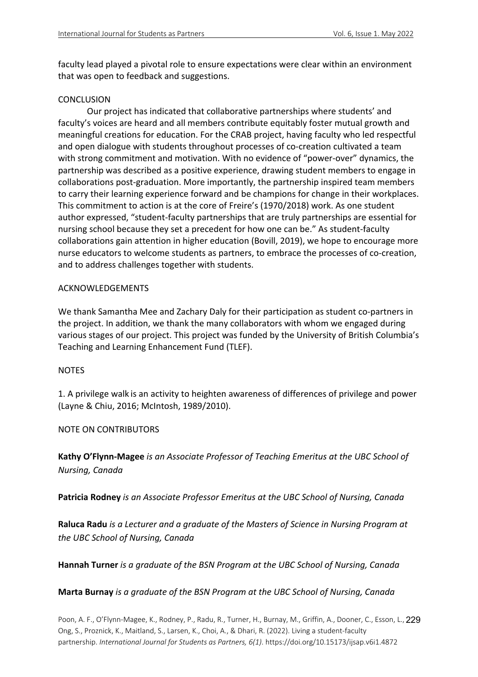faculty lead played a pivotal role to ensure expectations were clear within an environment that was open to feedback and suggestions.

# **CONCLUSION**

Our project has indicated that collaborative partnerships where students' and faculty's voices are heard and all members contribute equitably foster mutual growth and meaningful creations for education. For the CRAB project, having faculty who led respectful and open dialogue with students throughout processes of co-creation cultivated a team with strong commitment and motivation. With no evidence of "power-over" dynamics, the partnership was described as a positive experience, drawing student members to engage in collaborations post-graduation. More importantly, the partnership inspired team members to carry their learning experience forward and be champions for change in their workplaces. This commitment to action is at the core of Freire's (1970/2018) work. As one student author expressed, "student-faculty partnerships that are truly partnerships are essential for nursing school because they set a precedent for how one can be." As student-faculty collaborations gain attention in higher education (Bovill, 2019), we hope to encourage more nurse educators to welcome students as partners, to embrace the processes of co-creation, and to address challenges together with students.

# ACKNOWLEDGEMENTS

We thank Samantha Mee and Zachary Daly for their participation as student co-partners in the project. In addition, we thank the many collaborators with whom we engaged during various stages of our project. This project was funded by the University of British Columbia's Teaching and Learning Enhancement Fund (TLEF).

# NOTES

1. A privilege walk is an activity to heighten awareness of differences of privilege and power (Layne & Chiu, 2016; McIntosh, 1989/2010).

NOTE ON CONTRIBUTORS

**Kathy O'Flynn-Magee** *is an Associate Professor of Teaching Emeritus at the UBC School of Nursing, Canada*

**Patricia Rodney** *is an Associate Professor Emeritus at the UBC School of Nursing, Canada*

**Raluca Radu** *is a Lecturer and a graduate of the Masters of Science in Nursing Program at the UBC School of Nursing, Canada*

**Hannah Turner** *is a graduate of the BSN Program at the UBC School of Nursing, Canada*

# **Marta Burnay** *is a graduate of the BSN Program at the UBC School of Nursing, Canada*

Poon, A. F., O'Flynn-Magee, K., Rodney, P., Radu, R., Turner, H., Burnay, M., Griffin, A., Dooner, C., Esson, L., 229 Ong, S., Proznick, K., Maitland, S., Larsen, K., Choi, A., & Dhari, R. (2022). Living a student-faculty partnership. *International Journal for Students as Partners, 6(1)*. https://doi.org/10.15173/ijsap.v6i1.4872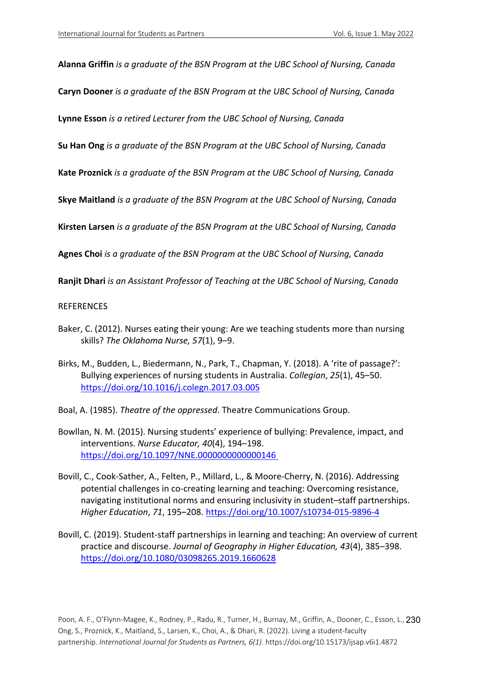**Alanna Griffin** *is a graduate of the BSN Program at the UBC School of Nursing, Canada*

**Caryn Dooner** *is a graduate of the BSN Program at the UBC School of Nursing, Canada*

**Lynne Esson** *is a retired Lecturer from the UBC School of Nursing, Canada*

**Su Han Ong** *is a graduate of the BSN Program at the UBC School of Nursing, Canada*

**Kate Proznick** *is a graduate of the BSN Program at the UBC School of Nursing, Canada*

**Skye Maitland** *is a graduate of the BSN Program at the UBC School of Nursing, Canada*

**Kirsten Larsen** *is a graduate of the BSN Program at the UBC School of Nursing, Canada*

**Agnes Choi** *is a graduate of the BSN Program at the UBC School of Nursing, Canada*

**Ranjit Dhari** *is an Assistant Professor of Teaching at the UBC School of Nursing, Canada*

### **REFERENCES**

- Baker, C. (2012). Nurses eating their young: Are we teaching students more than nursing skills? *The Oklahoma Nurse, 57*(1), 9–9.
- Birks, M., Budden, L., Biedermann, N., Park, T., Chapman, Y. (2018). A 'rite of passage?': Bullying experiences of nursing students in Australia. *Collegian*, *25*(1), 45–50. https://doi.org/10.1016/j.colegn.2017.03.005
- Boal, A. (1985). *Theatre of the oppressed*. Theatre Communications Group.
- Bowllan, N. M. (2015). Nursing students' experience of bullying: Prevalence, impact, and interventions. *Nurse Educator, 40*(4), 194–198. https://doi.org/10.1097/NNE.0000000000000146
- Bovill, C., Cook-Sather, A., Felten, P., Millard, L., & Moore-Cherry, N. (2016). Addressing potential challenges in co-creating learning and teaching: Overcoming resistance, navigating institutional norms and ensuring inclusivity in student–staff partnerships. *Higher Education*, *71*, 195–208. https://doi.org/10.1007/s10734-015-9896-4
- Bovill, C. (2019). Student-staff partnerships in learning and teaching: An overview of current practice and discourse. *Journal of Geography in Higher Education, 43*(4), 385–398. https://doi.org/10.1080/03098265.2019.1660628

Poon, A. F., O'Flynn-Magee, K., Rodney, P., Radu, R., Turner, H., Burnay, M., Griffin, A., Dooner, C., Esson, L., 230 Ong, S., Proznick, K., Maitland, S., Larsen, K., Choi, A., & Dhari, R. (2022). Living a student-faculty partnership. *International Journal for Students as Partners, 6(1)*. https://doi.org/10.15173/ijsap.v6i1.4872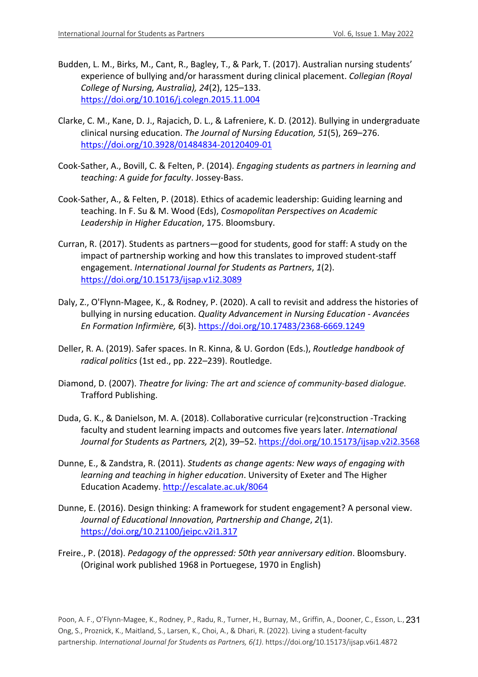- Budden, L. M., Birks, M., Cant, R., Bagley, T., & Park, T. (2017). Australian nursing students' experience of bullying and/or harassment during clinical placement. *Collegian (Royal College of Nursing, Australia), 24*(2), 125–133. https://doi.org/10.1016/j.colegn.2015.11.004
- Clarke, C. M., Kane, D. J., Rajacich, D. L., & Lafreniere, K. D. (2012). Bullying in undergraduate clinical nursing education. *The Journal of Nursing Education, 51*(5), 269–276. https://doi.org/10.3928/01484834-20120409-01
- Cook-Sather, A., Bovill, C. & Felten, P. (2014). *Engaging students as partners in learning and teaching: A guide for faculty*. Jossey-Bass.
- Cook-Sather, A., & Felten, P. (2018). Ethics of academic leadership: Guiding learning and teaching. In F. Su & M. Wood (Eds), *Cosmopolitan Perspectives on Academic Leadership in Higher Education*, 175. Bloomsbury.
- Curran, R. (2017). Students as partners—good for students, good for staff: A study on the impact of partnership working and how this translates to improved student-staff engagement. *International Journal for Students as Partners*, *1*(2). https://doi.org/10.15173/ijsap.v1i2.3089
- Daly, Z., O'Flynn-Magee, K., & Rodney, P. (2020). A call to revisit and address the histories of bullying in nursing education. *Quality Advancement in Nursing Education - Avancées En Formation Infirmière, 6*(3). https://doi.org/10.17483/2368-6669.1249
- Deller, R. A. (2019). Safer spaces. In R. Kinna, & U. Gordon (Eds.), *Routledge handbook of radical politics* (1st ed., pp. 222–239). Routledge.
- Diamond, D. (2007). *Theatre for living: The art and science of community-based dialogue.*  Trafford Publishing.
- Duda, G. K., & Danielson, M. A. (2018). Collaborative curricular (re)construction -Tracking faculty and student learning impacts and outcomes five years later. *International Journal for Students as Partners, 2*(2), 39–52. https://doi.org/10.15173/ijsap.v2i2.3568
- Dunne, E., & Zandstra, R. (2011). *Students as change agents: New ways of engaging with learning and teaching in higher education*. University of Exeter and The Higher Education Academy. http://escalate.ac.uk/8064
- Dunne, E. (2016). Design thinking: A framework for student engagement? A personal view. *Journal of Educational Innovation, Partnership and Change*, *2*(1). https://doi.org/10.21100/jeipc.v2i1.317
- Freire., P. (2018). *Pedagogy of the oppressed: 50th year anniversary edition*. Bloomsbury. (Original work published 1968 in Portuegese, 1970 in English)

Poon, A. F., O'Flynn-Magee, K., Rodney, P., Radu, R., Turner, H., Burnay, M., Griffin, A., Dooner, C., Esson, L., 231 Ong, S., Proznick, K., Maitland, S., Larsen, K., Choi, A., & Dhari, R. (2022). Living a student-faculty partnership. *International Journal for Students as Partners, 6(1)*. https://doi.org/10.15173/ijsap.v6i1.4872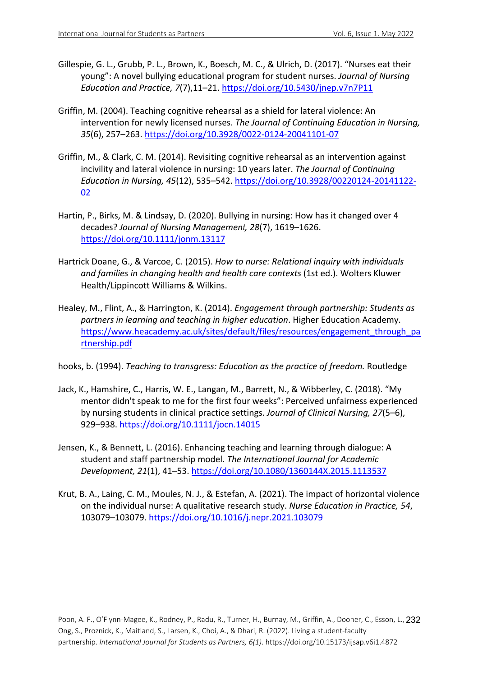- Gillespie, G. L., Grubb, P. L., Brown, K., Boesch, M. C., & Ulrich, D. (2017). "Nurses eat their young": A novel bullying educational program for student nurses. *Journal of Nursing Education and Practice, 7*(7),11–21. https://doi.org/10.5430/jnep.v7n7P11
- Griffin, M. (2004). Teaching cognitive rehearsal as a shield for lateral violence: An intervention for newly licensed nurses. *The Journal of Continuing Education in Nursing, 35*(6), 257–263. https://doi.org/10.3928/0022-0124-20041101-07
- Griffin, M., & Clark, C. M. (2014). Revisiting cognitive rehearsal as an intervention against incivility and lateral violence in nursing: 10 years later. *The Journal of Continuing Education in Nursing, 45*(12), 535–542. https://doi.org/10.3928/00220124-20141122- 02
- Hartin, P., Birks, M. & Lindsay, D. (2020). Bullying in nursing: How has it changed over 4 decades? *Journal of Nursing Management, 28*(7), 1619–1626. https://doi.org/10.1111/jonm.13117
- Hartrick Doane, G., & Varcoe, C. (2015). *How to nurse: Relational inquiry with individuals and families in changing health and health care contexts* (1st ed.). Wolters Kluwer Health/Lippincott Williams & Wilkins.
- Healey, M., Flint, A., & Harrington, K. (2014). *Engagement through partnership: Students as partners in learning and teaching in higher education*. Higher Education Academy. https://www.heacademy.ac.uk/sites/default/files/resources/engagement\_through\_pa rtnership.pdf
- hooks, b. (1994). *Teaching to transgress: Education as the practice of freedom.* Routledge
- Jack, K., Hamshire, C., Harris, W. E., Langan, M., Barrett, N., & Wibberley, C. (2018). "My mentor didn't speak to me for the first four weeks": Perceived unfairness experienced by nursing students in clinical practice settings. *Journal of Clinical Nursing, 27*(5–6), 929–938. https://doi.org/10.1111/jocn.14015
- Jensen, K., & Bennett, L. (2016). Enhancing teaching and learning through dialogue: A student and staff partnership model. *The International Journal for Academic Development, 21*(1), 41–53. https://doi.org/10.1080/1360144X.2015.1113537
- Krut, B. A., Laing, C. M., Moules, N. J., & Estefan, A. (2021). The impact of horizontal violence on the individual nurse: A qualitative research study. *Nurse Education in Practice, 54*, 103079–103079. https://doi.org/10.1016/j.nepr.2021.103079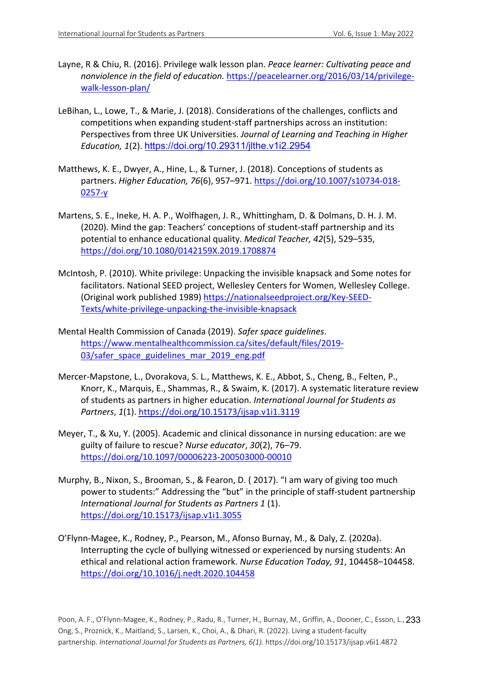- Layne, R & Chiu, R. (2016). Privilege walk lesson plan. *Peace learner: Cultivating peace and nonviolence in the field of education.* https://peacelearner.org/2016/03/14/privilegewalk-lesson-plan/
- LeBihan, L., Lowe, T., & Marie, J. (2018). Considerations of the challenges, conflicts and competitions when expanding student-staff partnerships across an institution: Perspectives from three UK Universities. *Journal of Learning and Teaching in Higher Education, 1*(2). https://doi.org/10.29311/jlthe.v1i2.2954
- Matthews, K. E., Dwyer, A., Hine, L., & Turner, J. (2018). Conceptions of students as partners. *Higher Education, 76*(6), 957–971. https://doi.org/10.1007/s10734-018- 0257-y
- Martens, S. E., Ineke, H. A. P., Wolfhagen, J. R., Whittingham, D. & Dolmans, D. H. J. M. (2020). Mind the gap: Teachers' conceptions of student-staff partnership and its potential to enhance educational quality. *Medical Teacher, 42*(5), 529–535, https://doi.org/10.1080/0142159X.2019.1708874
- McIntosh, P. (2010). White privilege: Unpacking the invisible knapsack and Some notes for facilitators. National SEED project, Wellesley Centers for Women, Wellesley College. (Original work published 1989) https://nationalseedproject.org/Key-SEED-Texts/white-privilege-unpacking-the-invisible-knapsack
- Mental Health Commission of Canada (2019). *Safer space guidelines*. https://www.mentalhealthcommission.ca/sites/default/files/2019- 03/safer\_space\_guidelines\_mar\_2019\_eng.pdf
- Mercer-Mapstone, L., Dvorakova, S. L., Matthews, K. E., Abbot, S., Cheng, B., Felten, P., Knorr, K., Marquis, E., Shammas, R., & Swaim, K. (2017). A systematic literature review of students as partners in higher education. *International Journal for Students as Partners*, *1*(1). https://doi.org/10.15173/ijsap.v1i1.3119
- Meyer, T., & Xu, Y. (2005). Academic and clinical dissonance in nursing education: are we guilty of failure to rescue? *Nurse educator*, *30*(2), 76–79. https://doi.org/10.1097/00006223-200503000-00010
- Murphy, B., Nixon, S., Brooman, S., & Fearon, D. ( 2017). "I am wary of giving too much power to students:" Addressing the "but" in the principle of staff-student partnership *International Journal for Students as Partners 1* (1). https://doi.org/10.15173/ijsap.v1i1.3055
- O'Flynn-Magee, K., Rodney, P., Pearson, M., Afonso Burnay, M., & Daly, Z. (2020a). Interrupting the cycle of bullying witnessed or experienced by nursing students: An ethical and relational action framework. *Nurse Education Today, 91*, 104458–104458. https://doi.org/10.1016/j.nedt.2020.104458

Poon, A. F., O'Flynn-Magee, K., Rodney, P., Radu, R., Turner, H., Burnay, M., Griffin, A., Dooner, C., Esson, L., 233 Ong, S., Proznick, K., Maitland, S., Larsen, K., Choi, A., & Dhari, R. (2022). Living a student-faculty partnership. *International Journal for Students as Partners, 6(1)*. https://doi.org/10.15173/ijsap.v6i1.4872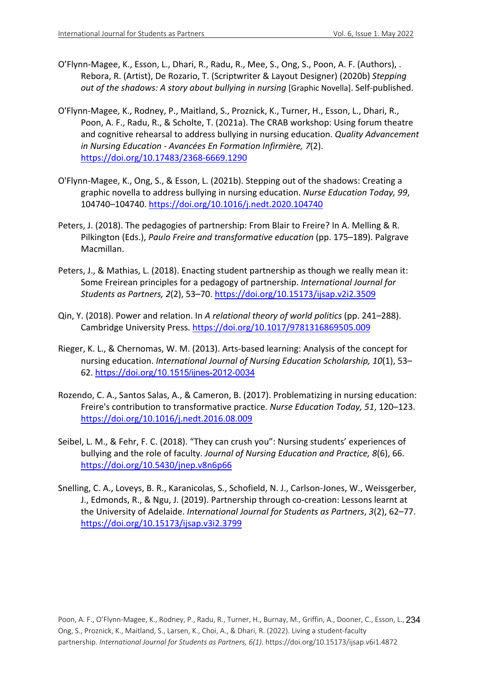- O'Flynn-Magee, K., Esson, L., Dhari, R., Radu, R., Mee, S., Ong, S., Poon, A. F. (Authors), . Rebora, R. (Artist), De Rozario, T. (Scriptwriter & Layout Designer) (2020b) *Stepping out of the shadows: A story about bullying in nursing* [Graphic Novella]. Self-published.
- O'Flynn-Magee, K., Rodney, P., Maitland, S., Proznick, K., Turner, H., Esson, L., Dhari, R., Poon, A. F., Radu, R., & Scholte, T. (2021a). The CRAB workshop: Using forum theatre and cognitive rehearsal to address bullying in nursing education. *Quality Advancement in Nursing Education - Avancées En Formation Infirmière, 7*(2). https://doi.org/10.17483/2368-6669.1290
- O'Flynn-Magee, K., Ong, S., & Esson, L. (2021b). Stepping out of the shadows: Creating a graphic novella to address bullying in nursing education. *Nurse Education Today, 99*, 104740–104740. https://doi.org/10.1016/j.nedt.2020.104740
- Peters, J. (2018). The pedagogies of partnership: From Blair to Freire? In A. Melling & R. Pilkington (Eds.), *Paulo Freire and transformative education* (pp. 175–189). Palgrave Macmillan.
- Peters, J., & Mathias, L. (2018). Enacting student partnership as though we really mean it: Some Freirean principles for a pedagogy of partnership. *International Journal for Students as Partners, 2*(2), 53–70. https://doi.org/10.15173/ijsap.v2i2.3509
- Qin, Y. (2018). Power and relation. In *A relational theory of world politics* (pp. 241–288). Cambridge University Press. https://doi.org/10.1017/9781316869505.009
- Rieger, K. L., & Chernomas, W. M. (2013). Arts-based learning: Analysis of the concept for nursing education. *International Journal of Nursing Education Scholarship, 10*(1), 53– 62. https://doi.org/10.1515/ijnes-2012-0034
- Rozendo, C. A., Santos Salas, A., & Cameron, B. (2017). Problematizing in nursing education: Freire's contribution to transformative practice. *Nurse Education Today, 51*, 120–123. https://doi.org/10.1016/j.nedt.2016.08.009
- Seibel, L. M., & Fehr, F. C. (2018). "They can crush you": Nursing students' experiences of bullying and the role of faculty. *Journal of Nursing Education and Practice, 8*(6), 66. https://doi.org/10.5430/jnep.v8n6p66
- Snelling, C. A., Loveys, B. R., Karanicolas, S., Schofield, N. J., Carlson-Jones, W., Weissgerber, J., Edmonds, R., & Ngu, J. (2019). Partnership through co-creation: Lessons learnt at the University of Adelaide. *International Journal for Students as Partners*, *3*(2), 62–77. https://doi.org/10.15173/ijsap.v3i2.3799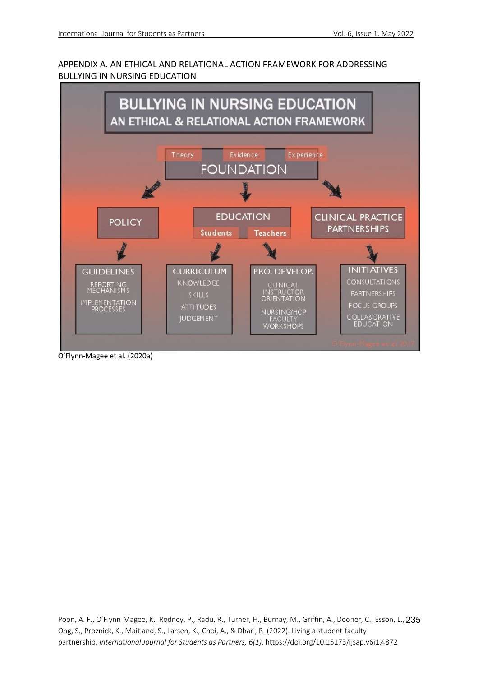# APPENDIX A. AN ETHICAL AND RELATIONAL ACTION FRAMEWORK FOR ADDRESSING BULLYING IN NURSING EDUCATION



O'Flynn-Magee et al. (2020a)

Poon, A. F., O'Flynn-Magee, K., Rodney, P., Radu, R., Turner, H., Burnay, M., Griffin, A., Dooner, C., Esson, L., 235 Ong, S., Proznick, K., Maitland, S., Larsen, K., Choi, A., & Dhari, R. (2022). Living a student-faculty partnership. *International Journal for Students as Partners, 6(1)*. https://doi.org/10.15173/ijsap.v6i1.4872